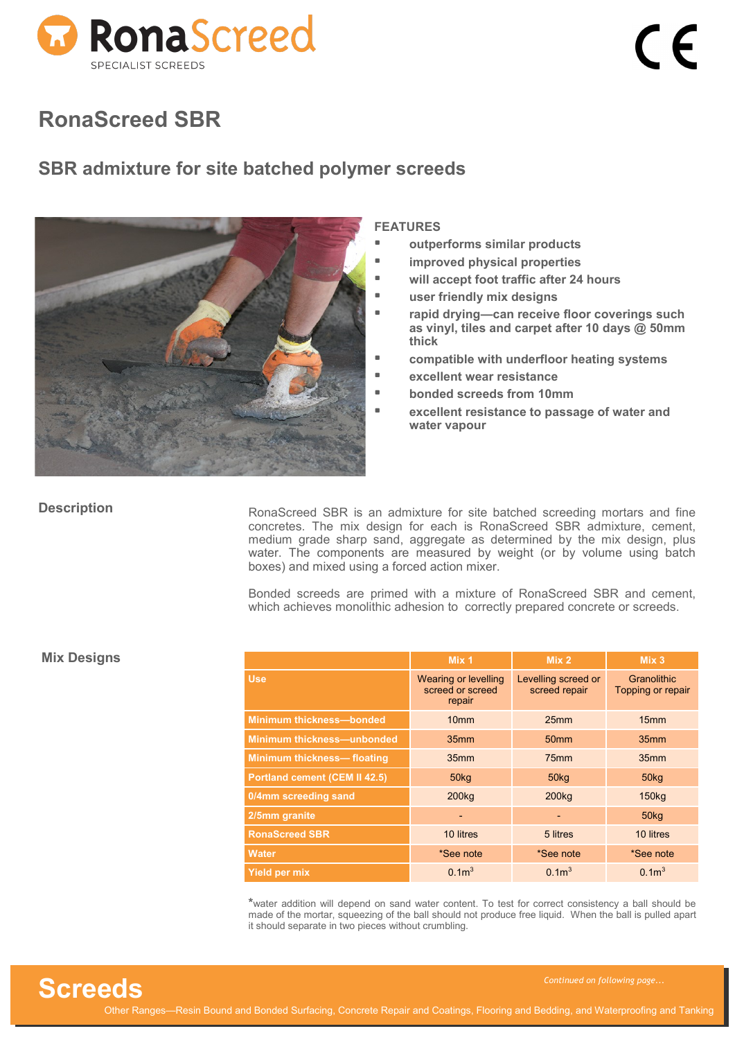

### **SBR admixture for site batched polymer screeds**



#### **FEATURES**

- **outperforms similar products**
- **improved physical properties**
- **will accept foot traffic after 24 hours**
- **user friendly mix designs**
- **rapid drying—can receive floor coverings such as vinyl, tiles and carpet after 10 days @ 50mm thick**
- **compatible with underfloor heating systems**
- **excellent wear resistance**
- **bonded screeds from 10mm**
- **excellent resistance to passage of water and water vapour**

#### **Description**

RonaScreed SBR is an admixture for site batched screeding mortars and fine concretes. The mix design for each is RonaScreed SBR admixture, cement, medium grade sharp sand, aggregate as determined by the mix design, plus water. The components are measured by weight (or by volume using batch boxes) and mixed using a forced action mixer.

Bonded screeds are primed with a mixture of RonaScreed SBR and cement, which achieves monolithic adhesion to correctly prepared concrete or screeds.

|                                      | Mix 1                                                     | Mix <sub>2</sub>                     | Mix <sub>3</sub>                 |
|--------------------------------------|-----------------------------------------------------------|--------------------------------------|----------------------------------|
| Use.                                 | <b>Wearing or levelling</b><br>screed or screed<br>repair | Levelling screed or<br>screed repair | Granolithic<br>Topping or repair |
| <b>Minimum thickness-bonded</b>      | 10 <sub>mm</sub>                                          | 25 <sub>mm</sub>                     | 15 <sub>mm</sub>                 |
| <b>Minimum thickness-unbonded</b>    | 35mm                                                      | 50 <sub>mm</sub>                     | 35 <sub>mm</sub>                 |
| <b>Minimum thickness-floating</b>    | 35 <sub>mm</sub>                                          | 75 <sub>mm</sub>                     | 35mm                             |
| <b>Portland cement (CEM II 42.5)</b> | 50 <sub>kq</sub>                                          | 50kg                                 | 50kg                             |
| 0/4mm screeding sand                 | 200 <sub>kg</sub>                                         | 200 <sub>kg</sub>                    | 150 <sub>kg</sub>                |
| 2/5mm granite                        | ۰                                                         | $\overline{\phantom{0}}$             | 50 <sub>kg</sub>                 |
| <b>RonaScreed SBR</b>                | 10 litres                                                 | 5 litres                             | 10 litres                        |
| <b>Water</b>                         | *See note                                                 | *See note                            | *See note                        |
| <b>Yield per mix</b>                 | 0.1 <sup>m</sup>                                          | 0.1 <sup>3</sup>                     | 0.1 <sup>3</sup>                 |

**\***water addition will depend on sand water content. To test for correct consistency a ball should be made of the mortar, squeezing of the ball should not produce free liquid. When the ball is pulled apart it should separate in two pieces without crumbling.

#### **Mix Designs**

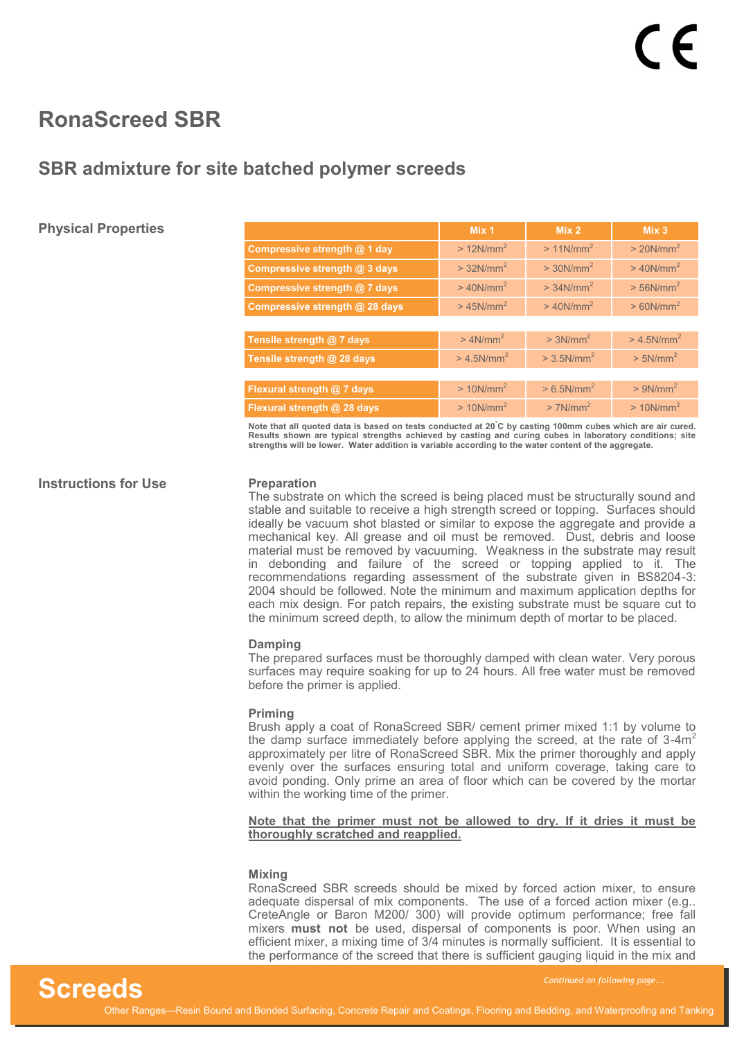### **SBR admixture for site batched polymer screeds**

### **Physical Properties**

|                                | Mix 1                     | Mix <sub>2</sub>          | Mix <sub>3</sub>          |
|--------------------------------|---------------------------|---------------------------|---------------------------|
| Compressive strength @ 1 day   | $>12N/mm^2$               | $>11$ N/mm <sup>2</sup>   | $>20$ N/mm <sup>2</sup>   |
| Compressive strength @ 3 days  | $>$ 32N/mm <sup>2</sup>   | $>$ 30N/mm <sup>2</sup>   | $>$ 40N/mm <sup>2</sup>   |
| Compressive strength @ 7 days  | $>40$ N/mm <sup>2</sup>   | $>$ 34N/mm <sup>2</sup>   | $>$ 56N/mm <sup>2</sup>   |
| Compressive strength @ 28 days | $>$ 45N/mm <sup>2</sup>   | $>40$ N/mm <sup>2</sup>   | $> 60$ N/mm <sup>2</sup>  |
|                                |                           |                           |                           |
| Tensile strength @ 7 days      | $> 4N/mm^2$               | $> 3N/mm^2$               | $> 4.5$ N/mm <sup>2</sup> |
| Tensile strength @ 28 days     | $> 4.5$ N/mm <sup>2</sup> | $>$ 3.5N/mm <sup>2</sup>  | $> 5N/mm^2$               |
|                                |                           |                           |                           |
| Flexural strength @ 7 days     | $>10N/mm^2$               | $> 6.5$ N/mm <sup>2</sup> | $> 9N/mm^2$               |
| Flexural strength @ 28 days    | $>10$ N/mm <sup>2</sup>   | $>7$ N/mm <sup>2</sup>    | $>10$ N/mm <sup>2</sup>   |
|                                |                           |                           |                           |

**Note that all quoted data is based on tests conducted at 20°C by casting 100mm cubes which are air cured.**  Results shown are typical strengths achieved by casting and curing cubes in laboratory conditions; site<br>strengths will be lower. Water addition is variable according to the water content of the aggregate.

#### **Instructions for Use**

#### **Preparation**

The substrate on which the screed is being placed must be structurally sound and stable and suitable to receive a high strength screed or topping. Surfaces should ideally be vacuum shot blasted or similar to expose the aggregate and provide a mechanical key. All grease and oil must be removed. Dust, debris and loose material must be removed by vacuuming. Weakness in the substrate may result in debonding and failure of the screed or topping applied to it. The recommendations regarding assessment of the substrate given in BS8204-3: 2004 should be followed. Note the minimum and maximum application depths for each mix design. For patch repairs, the existing substrate must be square cut to the minimum screed depth, to allow the minimum depth of mortar to be placed.

#### **Damping**

The prepared surfaces must be thoroughly damped with clean water. Very porous surfaces may require soaking for up to 24 hours. All free water must be removed before the primer is applied.

#### **Priming**

Brush apply a coat of RonaScreed SBR/ cement primer mixed 1:1 by volume to the damp surface immediately before applying the screed, at the rate of  $3-4m^2$ approximately per litre of RonaScreed SBR. Mix the primer thoroughly and apply evenly over the surfaces ensuring total and uniform coverage, taking care to avoid ponding. Only prime an area of floor which can be covered by the mortar within the working time of the primer.

#### **Note that the primer must not be allowed to dry. If it dries it must be thoroughly scratched and reapplied.**

#### **Mixing**

RonaScreed SBR screeds should be mixed by forced action mixer, to ensure adequate dispersal of mix components. The use of a forced action mixer (e.g.. CreteAngle or Baron M200/ 300) will provide optimum performance; free fall mixers **must not** be used, dispersal of components is poor. When using an efficient mixer, a mixing time of 3/4 minutes is normally sufficient. It is essential to the performance of the screed that there is sufficient gauging liquid in the mix and

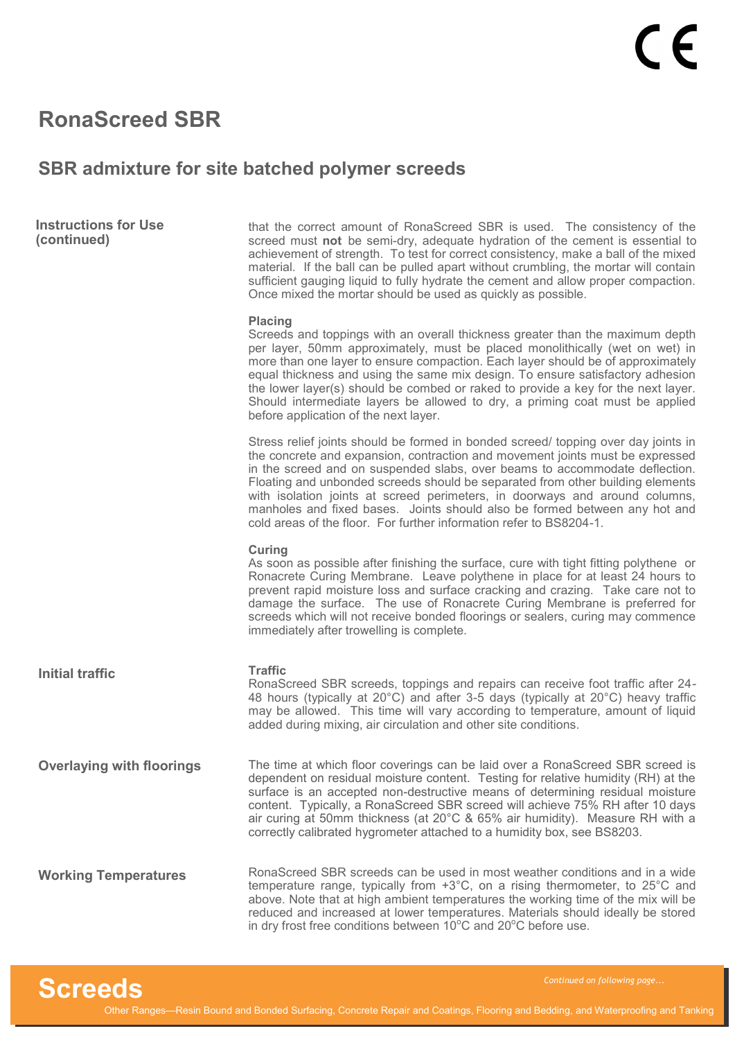### **SBR admixture for site batched polymer screeds**

| <b>Instructions for Use</b> |  |
|-----------------------------|--|
| (continued)                 |  |

that the correct amount of RonaScreed SBR is used. The consistency of the screed must **not** be semi-dry, adequate hydration of the cement is essential to achievement of strength. To test for correct consistency, make a ball of the mixed material. If the ball can be pulled apart without crumbling, the mortar will contain sufficient gauging liquid to fully hydrate the cement and allow proper compaction. Once mixed the mortar should be used as quickly as possible.

#### **Placing**

Screeds and toppings with an overall thickness greater than the maximum depth per layer, 50mm approximately, must be placed monolithically (wet on wet) in more than one layer to ensure compaction. Each layer should be of approximately equal thickness and using the same mix design. To ensure satisfactory adhesion the lower layer(s) should be combed or raked to provide a key for the next layer. Should intermediate layers be allowed to dry, a priming coat must be applied before application of the next layer.

Stress relief joints should be formed in bonded screed/ topping over day joints in the concrete and expansion, contraction and movement joints must be expressed in the screed and on suspended slabs, over beams to accommodate deflection. Floating and unbonded screeds should be separated from other building elements with isolation joints at screed perimeters, in doorways and around columns, manholes and fixed bases. Joints should also be formed between any hot and cold areas of the floor. For further information refer to BS8204-1.

#### **Curing**

As soon as possible after finishing the surface, cure with tight fitting polythene or Ronacrete Curing Membrane. Leave polythene in place for at least 24 hours to prevent rapid moisture loss and surface cracking and crazing. Take care not to damage the surface. The use of Ronacrete Curing Membrane is preferred for screeds which will not receive bonded floorings or sealers, curing may commence immediately after trowelling is complete.

**Initial traffic** 

#### **Traffic**

RonaScreed SBR screeds, toppings and repairs can receive foot traffic after 24- 48 hours (typically at 20°C) and after 3-5 days (typically at 20°C) heavy traffic may be allowed. This time will vary according to temperature, amount of liquid added during mixing, air circulation and other site conditions.

The time at which floor coverings can be laid over a RonaScreed SBR screed is dependent on residual moisture content. Testing for relative humidity (RH) at the surface is an accepted non-destructive means of determining residual moisture content. Typically, a RonaScreed SBR screed will achieve 75% RH after 10 days air curing at 50mm thickness (at 20°C & 65% air humidity). Measure RH with a correctly calibrated hygrometer attached to a humidity box, see BS8203. **Overlaying with floorings**

RonaScreed SBR screeds can be used in most weather conditions and in a wide temperature range, typically from +3°C, on a rising thermometer, to 25°C and above. Note that at high ambient temperatures the working time of the mix will be reduced and increased at lower temperatures. Materials should ideally be stored in dry frost free conditions between  $10^{\circ}$ C and  $20^{\circ}$ C before use. **Working Temperatures**